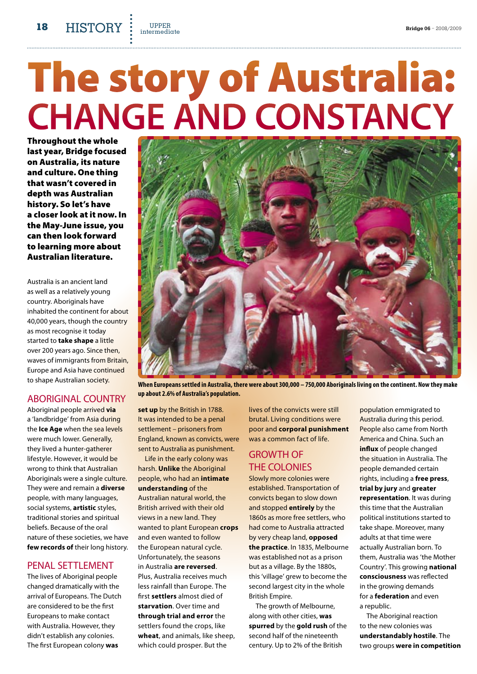**18 HISTORY :** UPPER<br>**18 history Bridge 06** − 2008/2009 UPPER<br>intermediαte

# The story of Australia: **Change and constancy**

Throughout the whole last year, Bridge focused on Australia, its nature and culture. One thing that wasn't covered in depth was Australian history. So let's have a closer look at it now. In the May-June issue, you can then look forward to learning more about Australian literature.

Australia is an ancient land as well as a relatively young country. Aboriginals have inhabited the continent for about 40,000 years, though the country as most recognise it today started to **take shape** a little over 200 years ago. Since then, waves of immigrants from Britain, Europe and Asia have continued to shape Australian society.

## Aboriginal country

Aboriginal people arrived **via** a 'landbridge' from Asia during the **Ice Age** when the sea levels were much lower. Generally, they lived a hunter‑gatherer lifestyle. However, it would be wrong to think that Australian Aboriginals were a single culture. They were and remain a **diverse** people, with many languages, social systems, **artistic** styles, traditional stories and spiritual beliefs. Because of the oral nature of these societies, we have **few records of** their long history.

## Penal settlement

The lives of Aboriginal people changed dramatically with the arrival of Europeans. The Dutch are considered to be the first Europeans to make contact with Australia. However, they didn't establish any colonies. The first European colony **was** 

**When Europeans settled in Australia, there were about 300,000 – 750,000 Aboriginals living on the continent. Now they make up about 2.6% of Australia's population.**

**set up** by the British in 1788. It was intended to be a penal settlement – prisoners from England, known as convicts, were sent to Australia as punishment.

Life in the early colony was harsh. **Unlike** the Aboriginal people, who had an **intimate understanding** of the Australian natural world, the British arrived with their old views in a new land. They wanted to plant European **crops** and even wanted to follow the European natural cycle. Unfortunately, the seasons in Australia **are reversed**. Plus, Australia receives much less rainfall than Europe. The first **settlers** almost died of **starvation**. Over time and **through trial and error** the settlers found the crops, like **wheat**, and animals, like sheep, which could prosper. But the

lives of the convicts were still brutal. Living conditions were poor and **corporal punishment** was a common fact of life.

## Growth of the colonies

Slowly more colonies were established. Transportation of convicts began to slow down and stopped **entirely** by the 1860s as more free settlers, who had come to Australia attracted by very cheap land, **opposed the practice**. In 1835, Melbourne was established not as a prison but as a village. By the 1880s, this 'village' grew to become the second largest city in the whole British Empire.

The growth of Melbourne, along with other cities, **was spurred** by the **gold rush** of the second half of the nineteenth century. Up to 2% of the British

population emmigrated to Australia during this period. People also came from North America and China. Such an **influx** of people changed the situation in Australia. The people demanded certain rights, including a **free press**, **trial by jury** and **greater representation**. It was during this time that the Australian political institutions started to take shape. Moreover, many adults at that time were actually Australian born. To them, Australia was 'the Mother Country'. This growing **national consciousness** was reflected in the growing demands for a **federation** and even a republic.

The Aboriginal reaction to the new colonies was **understandably hostile**. The two groups **were in competition**